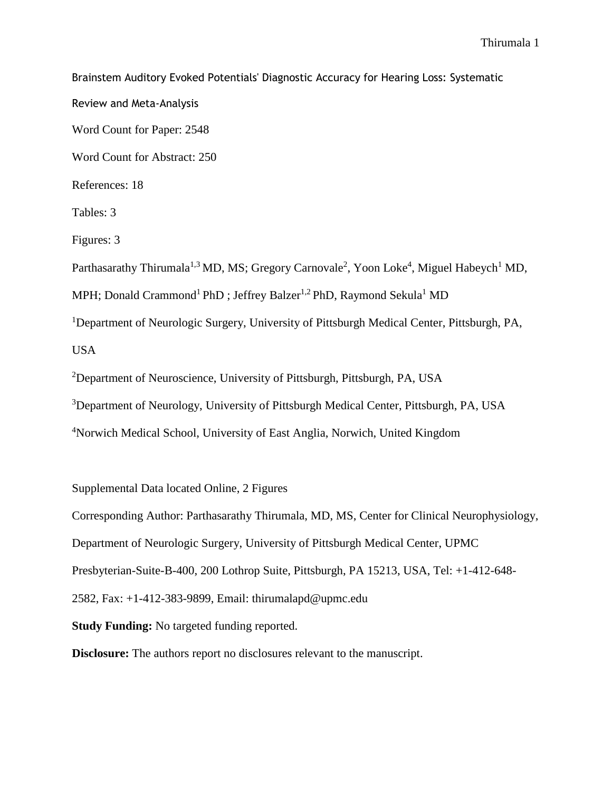Brainstem Auditory Evoked Potentials' Diagnostic Accuracy for Hearing Loss: Systematic Review and Meta-Analysis Word Count for Paper: 2548 Word Count for Abstract: 250 References: 18 Tables: 3 Figures: 3 Parthasarathy Thirumala<sup>1,3</sup> MD, MS; Gregory Carnovale<sup>2</sup>, Yoon Loke<sup>4</sup>, Miguel Habeych<sup>1</sup> MD, MPH; Donald Crammond<sup>1</sup> PhD; Jeffrey Balzer<sup>1,2</sup> PhD, Raymond Sekula<sup>1</sup> MD <sup>1</sup>Department of Neurologic Surgery, University of Pittsburgh Medical Center, Pittsburgh, PA, USA <sup>2</sup>Department of Neuroscience, University of Pittsburgh, Pittsburgh, PA, USA <sup>3</sup>Department of Neurology, University of Pittsburgh Medical Center, Pittsburgh, PA, USA <sup>4</sup>Norwich Medical School, University of East Anglia, Norwich, United Kingdom

Supplemental Data located Online, 2 Figures

Corresponding Author: Parthasarathy Thirumala, MD, MS, Center for Clinical Neurophysiology,

Department of Neurologic Surgery, University of Pittsburgh Medical Center, UPMC

Presbyterian-Suite-B-400, 200 Lothrop Suite, Pittsburgh, PA 15213, USA, Tel: +1-412-648-

2582, Fax: +1-412-383-9899, Email: thirumalapd@upmc.edu

**Study Funding:** No targeted funding reported.

**Disclosure:** The authors report no disclosures relevant to the manuscript.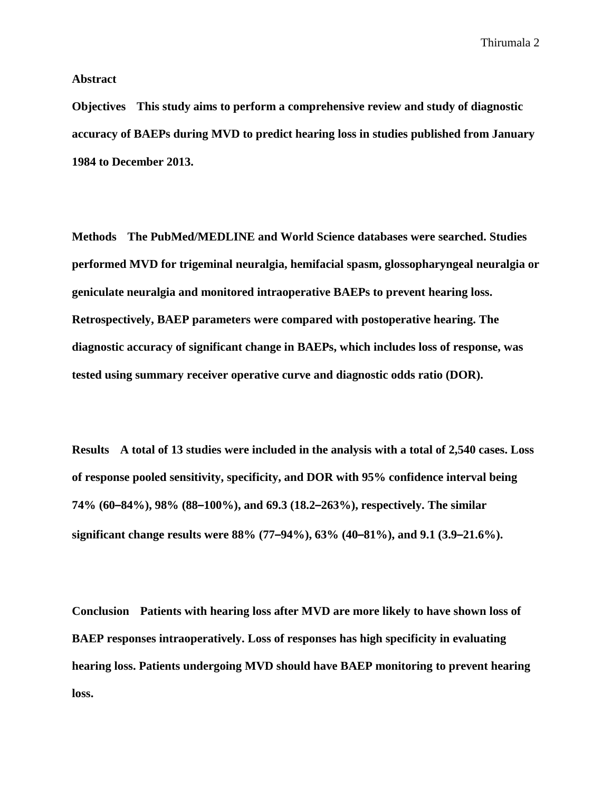**Abstract**

**Objectives This study aims to perform a comprehensive review and study of diagnostic accuracy of BAEPs during MVD to predict hearing loss in studies published from January 1984 to December 2013.**

**Methods The PubMed/MEDLINE and World Science databases were searched. Studies performed MVD for trigeminal neuralgia, hemifacial spasm, glossopharyngeal neuralgia or geniculate neuralgia and monitored intraoperative BAEPs to prevent hearing loss. Retrospectively, BAEP parameters were compared with postoperative hearing. The diagnostic accuracy of significant change in BAEPs, which includes loss of response, was tested using summary receiver operative curve and diagnostic odds ratio (DOR).**

**Results A total of 13 studies were included in the analysis with a total of 2,540 cases. Loss of response pooled sensitivity, specificity, and DOR with 95% confidence interval being 74% (60–84%), 98% (88–100%), and 69.3 (18.2–263%), respectively. The similar significant change results were 88% (77–94%), 63% (40–81%), and 9.1 (3.9–21.6%).**

**Conclusion Patients with hearing loss after MVD are more likely to have shown loss of BAEP responses intraoperatively. Loss of responses has high specificity in evaluating hearing loss. Patients undergoing MVD should have BAEP monitoring to prevent hearing loss.**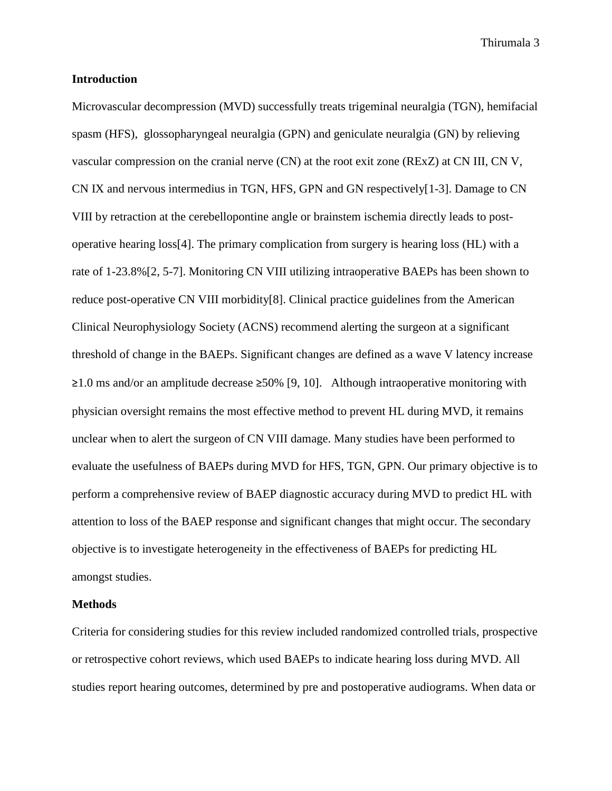#### **Introduction**

Microvascular decompression (MVD) successfully treats trigeminal neuralgia (TGN), hemifacial spasm (HFS), glossopharyngeal neuralgia (GPN) and geniculate neuralgia (GN) by relieving vascular compression on the cranial nerve (CN) at the root exit zone (RExZ) at CN III, CN V, CN IX and nervous intermedius in TGN, HFS, GPN and GN respectively[\[1-3\]](#page-16-0). Damage to CN VIII by retraction at the cerebellopontine angle or brainstem ischemia directly leads to postoperative hearing loss[\[4\]](#page-16-1). The primary complication from surgery is hearing loss (HL) with a rate of 1-23.8%[\[2,](#page-16-2) [5-7\]](#page-16-3). Monitoring CN VIII utilizing intraoperative BAEPs has been shown to reduce post-operative CN VIII morbidity[\[8\]](#page-16-4). Clinical practice guidelines from the American Clinical Neurophysiology Society (ACNS) recommend alerting the surgeon at a significant threshold of change in the BAEPs. Significant changes are defined as a wave V latency increase ≥1.0 ms and/or an amplitude decrease ≥50% [\[9,](#page-16-5) [10\]](#page-16-6). Although intraoperative monitoring with physician oversight remains the most effective method to prevent HL during MVD, it remains unclear when to alert the surgeon of CN VIII damage. Many studies have been performed to evaluate the usefulness of BAEPs during MVD for HFS, TGN, GPN. Our primary objective is to perform a comprehensive review of BAEP diagnostic accuracy during MVD to predict HL with attention to loss of the BAEP response and significant changes that might occur. The secondary objective is to investigate heterogeneity in the effectiveness of BAEPs for predicting HL amongst studies.

#### **Methods**

Criteria for considering studies for this review included randomized controlled trials, prospective or retrospective cohort reviews, which used BAEPs to indicate hearing loss during MVD. All studies report hearing outcomes, determined by pre and postoperative audiograms. When data or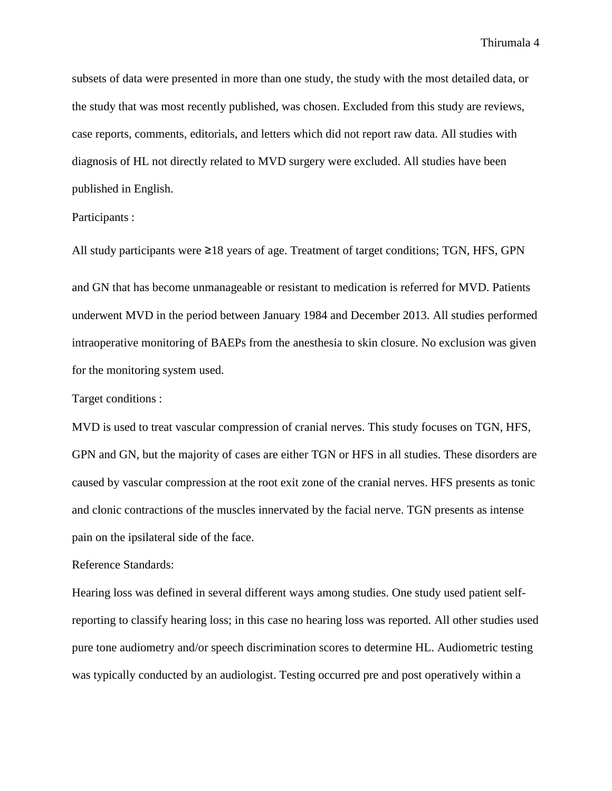subsets of data were presented in more than one study, the study with the most detailed data, or the study that was most recently published, was chosen. Excluded from this study are reviews, case reports, comments, editorials, and letters which did not report raw data. All studies with diagnosis of HL not directly related to MVD surgery were excluded. All studies have been published in English.

#### Participants :

All study participants were ≥18 years of age. Treatment of target conditions; TGN, HFS, GPN

and GN that has become unmanageable or resistant to medication is referred for MVD. Patients underwent MVD in the period between January 1984 and December 2013. All studies performed intraoperative monitoring of BAEPs from the anesthesia to skin closure. No exclusion was given for the monitoring system used.

Target conditions :

MVD is used to treat vascular compression of cranial nerves. This study focuses on TGN, HFS, GPN and GN, but the majority of cases are either TGN or HFS in all studies. These disorders are caused by vascular compression at the root exit zone of the cranial nerves. HFS presents as tonic and clonic contractions of the muscles innervated by the facial nerve. TGN presents as intense pain on the ipsilateral side of the face.

#### Reference Standards:

Hearing loss was defined in several different ways among studies. One study used patient selfreporting to classify hearing loss; in this case no hearing loss was reported. All other studies used pure tone audiometry and/or speech discrimination scores to determine HL. Audiometric testing was typically conducted by an audiologist. Testing occurred pre and post operatively within a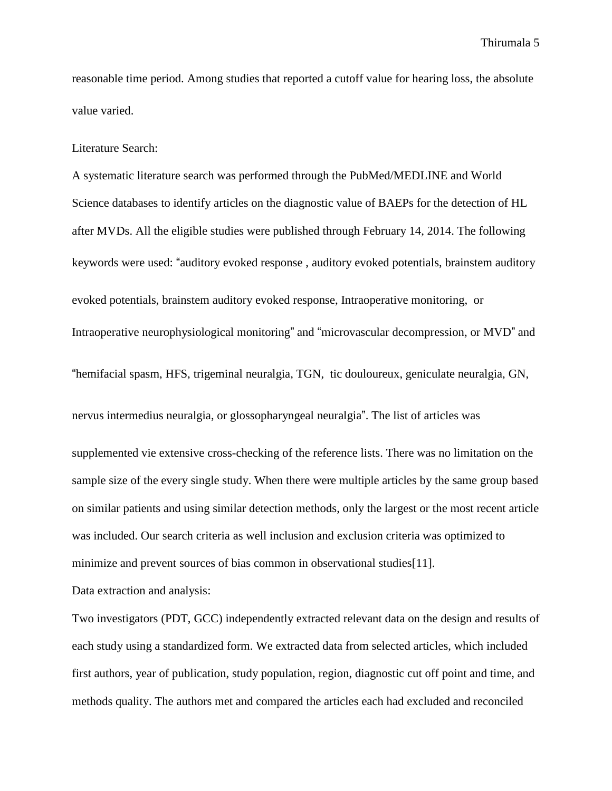reasonable time period. Among studies that reported a cutoff value for hearing loss, the absolute value varied.

Literature Search:

A systematic literature search was performed through the PubMed/MEDLINE and World Science databases to identify articles on the diagnostic value of BAEPs for the detection of HL after MVDs. All the eligible studies were published through February 14, 2014. The following keywords were used: "auditory evoked response , auditory evoked potentials, brainstem auditory evoked potentials, brainstem auditory evoked response, Intraoperative monitoring, or Intraoperative neurophysiological monitoring" and "microvascular decompression, or MVD" and "hemifacial spasm, HFS, trigeminal neuralgia, TGN, tic douloureux, geniculate neuralgia, GN, nervus intermedius neuralgia, or glossopharyngeal neuralgia". The list of articles was supplemented vie extensive cross-checking of the reference lists. There was no limitation on the sample size of the every single study. When there were multiple articles by the same group based

on similar patients and using similar detection methods, only the largest or the most recent article was included. Our search criteria as well inclusion and exclusion criteria was optimized to minimize and prevent sources of bias common in observational studies[\[11\]](#page-16-7).

Data extraction and analysis:

Two investigators (PDT, GCC) independently extracted relevant data on the design and results of each study using a standardized form. We extracted data from selected articles, which included first authors, year of publication, study population, region, diagnostic cut off point and time, and methods quality. The authors met and compared the articles each had excluded and reconciled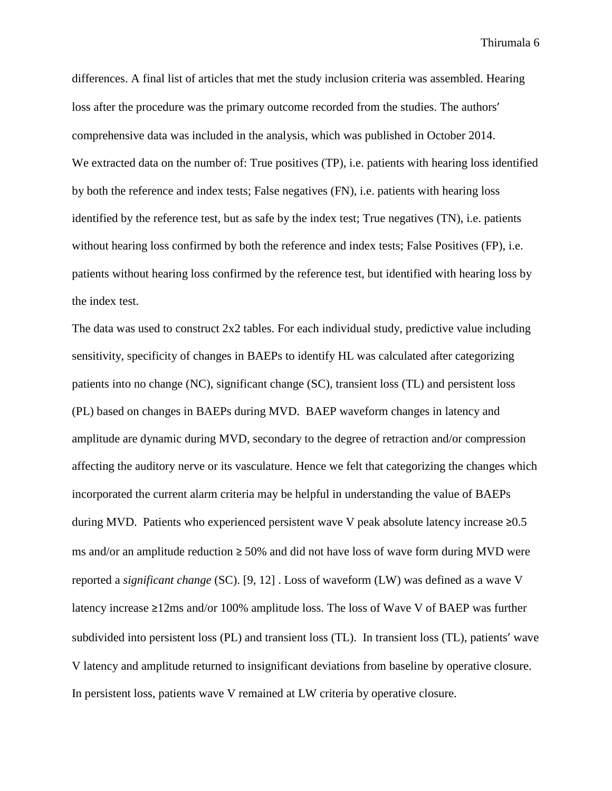differences. A final list of articles that met the study inclusion criteria was assembled. Hearing loss after the procedure was the primary outcome recorded from the studies. The authors' comprehensive data was included in the analysis, which was published in October 2014. We extracted data on the number of: True positives (TP), i.e. patients with hearing loss identified by both the reference and index tests; False negatives (FN), i.e. patients with hearing loss identified by the reference test, but as safe by the index test; True negatives (TN), i.e. patients without hearing loss confirmed by both the reference and index tests; False Positives (FP), i.e. patients without hearing loss confirmed by the reference test, but identified with hearing loss by the index test.

The data was used to construct 2x2 tables. For each individual study, predictive value including sensitivity, specificity of changes in BAEPs to identify HL was calculated after categorizing patients into no change (NC), significant change (SC), transient loss (TL) and persistent loss (PL) based on changes in BAEPs during MVD. BAEP waveform changes in latency and amplitude are dynamic during MVD, secondary to the degree of retraction and/or compression affecting the auditory nerve or its vasculature. Hence we felt that categorizing the changes which incorporated the current alarm criteria may be helpful in understanding the value of BAEPs during MVD. Patients who experienced persistent wave V peak absolute latency increase  $\geq 0.5$ ms and/or an amplitude reduction  $\geq 50\%$  and did not have loss of wave form during MVD were reported a *significant change* (SC). [\[9,](#page-16-5) [12\]](#page-16-8) . Loss of waveform (LW) was defined as a wave V latency increase ≥12ms and/or 100% amplitude loss. The loss of Wave V of BAEP was further subdivided into persistent loss (PL) and transient loss (TL). In transient loss (TL), patients' wave V latency and amplitude returned to insignificant deviations from baseline by operative closure. In persistent loss, patients wave V remained at LW criteria by operative closure.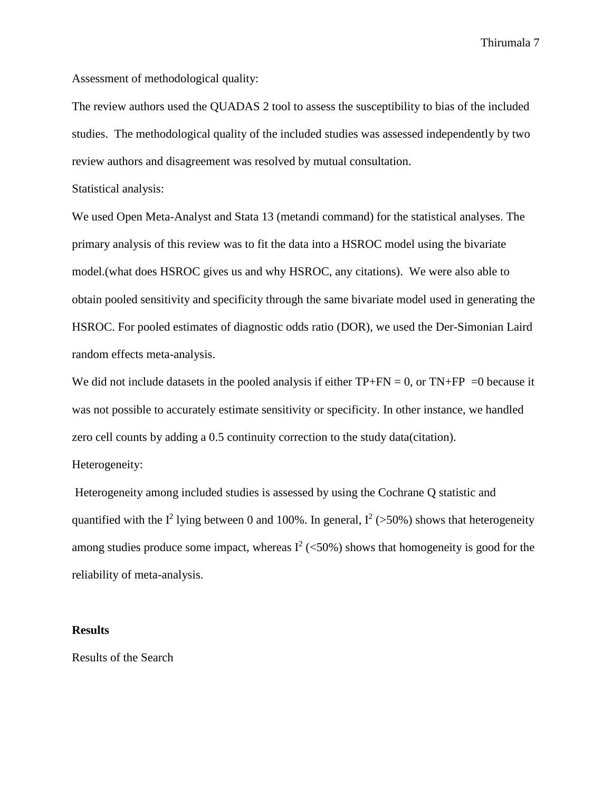Assessment of methodological quality:

The review authors used the QUADAS 2 tool to assess the susceptibility to bias of the included studies. The methodological quality of the included studies was assessed independently by two review authors and disagreement was resolved by mutual consultation.

Statistical analysis:

We used Open Meta-Analyst and Stata 13 (metandi command) for the statistical analyses. The primary analysis of this review was to fit the data into a HSROC model using the bivariate model.(what does HSROC gives us and why HSROC, any citations). We were also able to obtain pooled sensitivity and specificity through the same bivariate model used in generating the HSROC. For pooled estimates of diagnostic odds ratio (DOR), we used the Der-Simonian Laird random effects meta-analysis.

We did not include datasets in the pooled analysis if either  $TP+FN = 0$ , or  $TN+FP = 0$  because it was not possible to accurately estimate sensitivity or specificity. In other instance, we handled zero cell counts by adding a 0.5 continuity correction to the study data(citation).

Heterogeneity:

Heterogeneity among included studies is assessed by using the Cochrane Q statistic and quantified with the  $I^2$  lying between 0 and 100%. In general,  $I^2$  (>50%) shows that heterogeneity among studies produce some impact, whereas  $I^2$  (<50%) shows that homogeneity is good for the reliability of meta-analysis.

#### **Results**

Results of the Search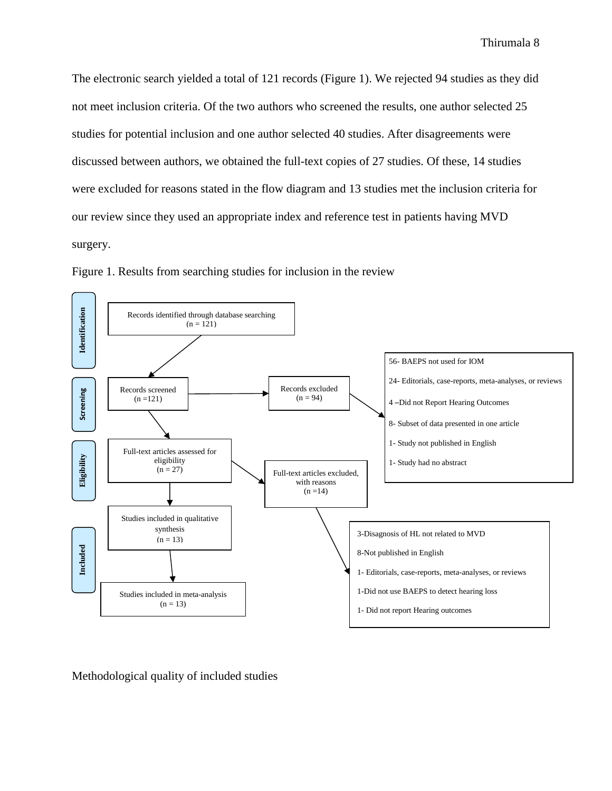The electronic search yielded a total of 121 records (Figure 1). We rejected 94 studies as they did not meet inclusion criteria. Of the two authors who screened the results, one author selected 25 studies for potential inclusion and one author selected 40 studies. After disagreements were discussed between authors, we obtained the full-text copies of 27 studies. Of these, 14 studies were excluded for reasons stated in the flow diagram and 13 studies met the inclusion criteria for our review since they used an appropriate index and reference test in patients having MVD surgery.





Methodological quality of included studies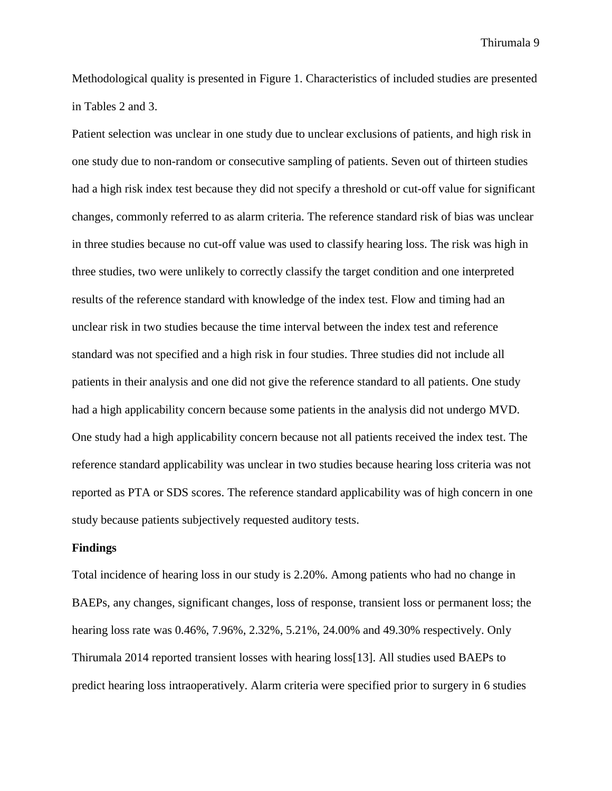Methodological quality is presented in Figure 1. Characteristics of included studies are presented in Tables 2 and 3.

Patient selection was unclear in one study due to unclear exclusions of patients, and high risk in one study due to non-random or consecutive sampling of patients. Seven out of thirteen studies had a high risk index test because they did not specify a threshold or cut-off value for significant changes, commonly referred to as alarm criteria. The reference standard risk of bias was unclear in three studies because no cut-off value was used to classify hearing loss. The risk was high in three studies, two were unlikely to correctly classify the target condition and one interpreted results of the reference standard with knowledge of the index test. Flow and timing had an unclear risk in two studies because the time interval between the index test and reference standard was not specified and a high risk in four studies. Three studies did not include all patients in their analysis and one did not give the reference standard to all patients. One study had a high applicability concern because some patients in the analysis did not undergo MVD. One study had a high applicability concern because not all patients received the index test. The reference standard applicability was unclear in two studies because hearing loss criteria was not reported as PTA or SDS scores. The reference standard applicability was of high concern in one study because patients subjectively requested auditory tests.

#### **Findings**

Total incidence of hearing loss in our study is 2.20%. Among patients who had no change in BAEPs, any changes, significant changes, loss of response, transient loss or permanent loss; the hearing loss rate was 0.46%, 7.96%, 2.32%, 5.21%, 24.00% and 49.30% respectively. Only Thirumala 2014 reported transient losses with hearing loss[\[13\]](#page-16-9). All studies used BAEPs to predict hearing loss intraoperatively. Alarm criteria were specified prior to surgery in 6 studies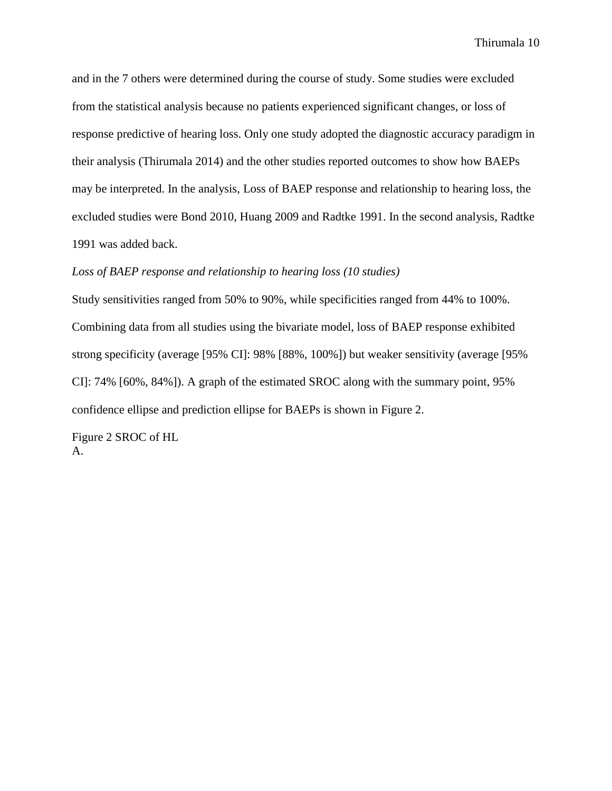and in the 7 others were determined during the course of study. Some studies were excluded from the statistical analysis because no patients experienced significant changes, or loss of response predictive of hearing loss. Only one study adopted the diagnostic accuracy paradigm in their analysis (Thirumala 2014) and the other studies reported outcomes to show how BAEPs may be interpreted. In the analysis, Loss of BAEP response and relationship to hearing loss, the excluded studies were Bond 2010, Huang 2009 and Radtke 1991. In the second analysis, Radtke 1991 was added back.

#### *Loss of BAEP response and relationship to hearing loss (10 studies)*

Study sensitivities ranged from 50% to 90%, while specificities ranged from 44% to 100%. Combining data from all studies using the bivariate model, loss of BAEP response exhibited strong specificity (average [95% CI]: 98% [88%, 100%]) but weaker sensitivity (average [95% CI]: 74% [60%, 84%]). A graph of the estimated SROC along with the summary point, 95% confidence ellipse and prediction ellipse for BAEPs is shown in Figure 2.

Figure 2 SROC of HL A.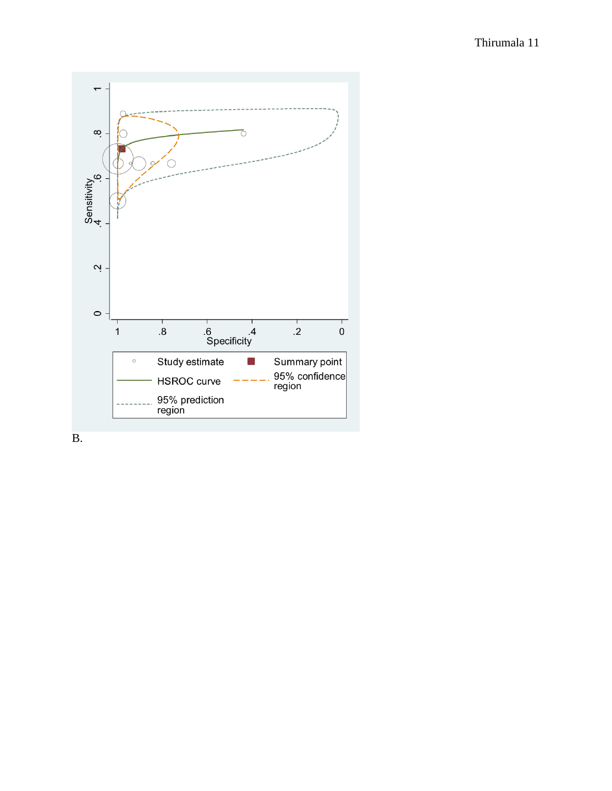

B.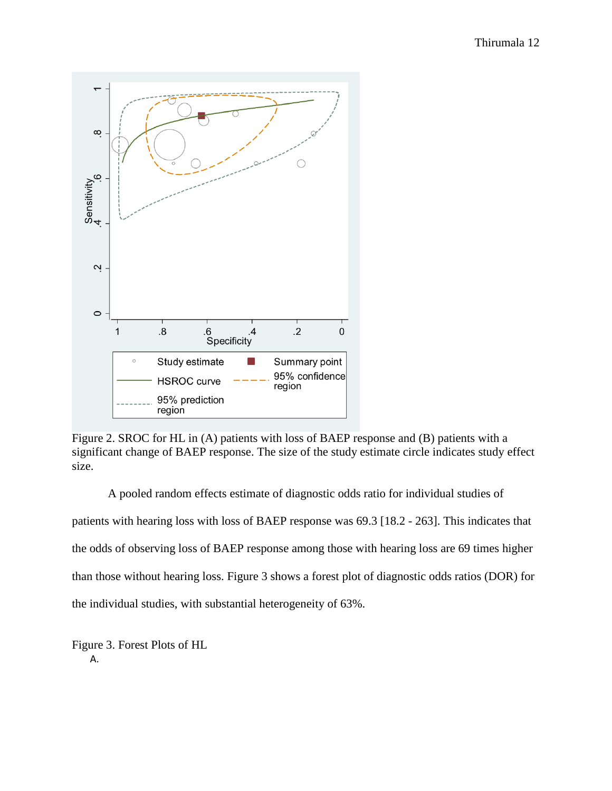

Figure 2. SROC for HL in (A) patients with loss of BAEP response and (B) patients with a significant change of BAEP response. The size of the study estimate circle indicates study effect size.

A pooled random effects estimate of diagnostic odds ratio for individual studies of patients with hearing loss with loss of BAEP response was 69.3 [18.2 - 263]. This indicates that the odds of observing loss of BAEP response among those with hearing loss are 69 times higher than those without hearing loss. Figure 3 shows a forest plot of diagnostic odds ratios (DOR) for the individual studies, with substantial heterogeneity of 63%.

Figure 3. Forest Plots of HL A.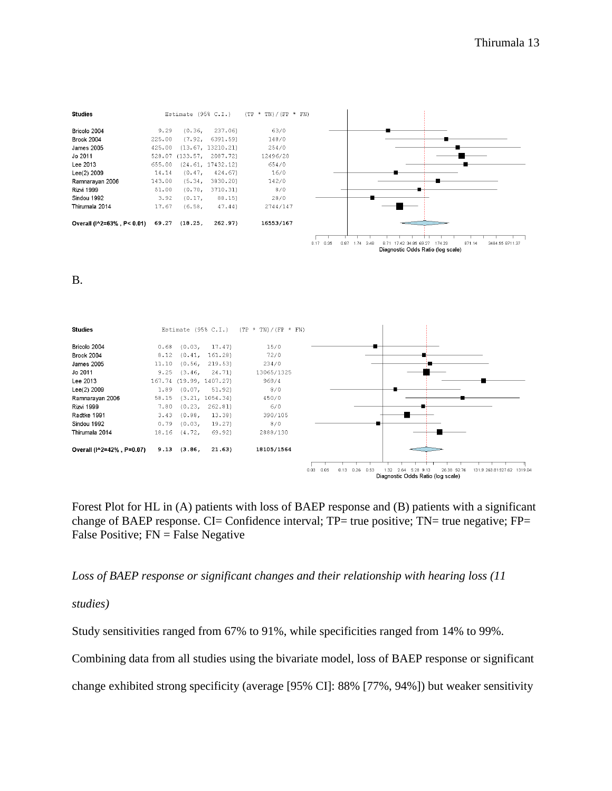871.14

3484.55 8711.37



B.



Forest Plot for HL in (A) patients with loss of BAEP response and (B) patients with a significant change of BAEP response. CI= Confidence interval; TP= true positive; TN= true negative; FP= False Positive; FN = False Negative

*Loss of BAEP response or significant changes and their relationship with hearing loss (11*

*studies)*

Study sensitivities ranged from 67% to 91%, while specificities ranged from 14% to 99%.

Combining data from all studies using the bivariate model, loss of BAEP response or significant

change exhibited strong specificity (average [95% CI]: 88% [77%, 94%]) but weaker sensitivity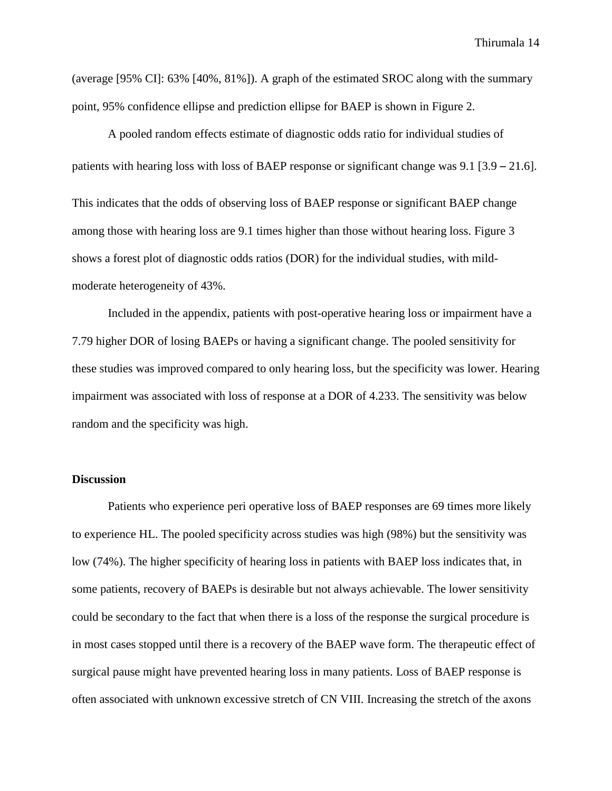(average [95% CI]: 63% [40%, 81%]). A graph of the estimated SROC along with the summary point, 95% confidence ellipse and prediction ellipse for BAEP is shown in Figure 2.

A pooled random effects estimate of diagnostic odds ratio for individual studies of patients with hearing loss with loss of BAEP response or significant change was 9.1 [3.9 – 21.6].

This indicates that the odds of observing loss of BAEP response or significant BAEP change among those with hearing loss are 9.1 times higher than those without hearing loss. Figure 3 shows a forest plot of diagnostic odds ratios (DOR) for the individual studies, with mildmoderate heterogeneity of 43%.

Included in the appendix, patients with post-operative hearing loss or impairment have a 7.79 higher DOR of losing BAEPs or having a significant change. The pooled sensitivity for these studies was improved compared to only hearing loss, but the specificity was lower. Hearing impairment was associated with loss of response at a DOR of 4.233. The sensitivity was below random and the specificity was high.

#### **Discussion**

Patients who experience peri operative loss of BAEP responses are 69 times more likely to experience HL. The pooled specificity across studies was high (98%) but the sensitivity was low (74%). The higher specificity of hearing loss in patients with BAEP loss indicates that, in some patients, recovery of BAEPs is desirable but not always achievable. The lower sensitivity could be secondary to the fact that when there is a loss of the response the surgical procedure is in most cases stopped until there is a recovery of the BAEP wave form. The therapeutic effect of surgical pause might have prevented hearing loss in many patients. Loss of BAEP response is often associated with unknown excessive stretch of CN VIII. Increasing the stretch of the axons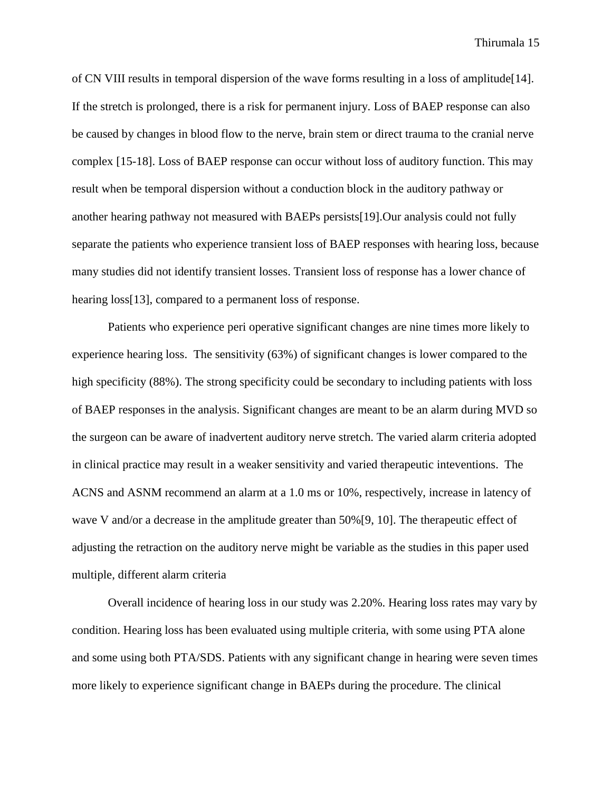of CN VIII results in temporal dispersion of the wave forms resulting in a loss of amplitude[\[14\]](#page-16-10). If the stretch is prolonged, there is a risk for permanent injury. Loss of BAEP response can also be caused by changes in blood flow to the nerve, brain stem or direct trauma to the cranial nerve complex [\[15-18\]](#page-16-11). Loss of BAEP response can occur without loss of auditory function. This may result when be temporal dispersion without a conduction block in the auditory pathway or another hearing pathway not measured with BAEPs persists[\[19\]](#page-16-12).Our analysis could not fully separate the patients who experience transient loss of BAEP responses with hearing loss, because many studies did not identify transient losses. Transient loss of response has a lower chance of hearing loss[\[13\]](#page-16-9), compared to a permanent loss of response.

Patients who experience peri operative significant changes are nine times more likely to experience hearing loss. The sensitivity (63%) of significant changes is lower compared to the high specificity (88%). The strong specificity could be secondary to including patients with loss of BAEP responses in the analysis. Significant changes are meant to be an alarm during MVD so the surgeon can be aware of inadvertent auditory nerve stretch. The varied alarm criteria adopted in clinical practice may result in a weaker sensitivity and varied therapeutic inteventions. The ACNS and ASNM recommend an alarm at a 1.0 ms or 10%, respectively, increase in latency of wave V and/or a decrease in the amplitude greater than  $50\%$  [\[9,](#page-16-5) [10\]](#page-16-6). The therapeutic effect of adjusting the retraction on the auditory nerve might be variable as the studies in this paper used multiple, different alarm criteria

Overall incidence of hearing loss in our study was 2.20%. Hearing loss rates may vary by condition. Hearing loss has been evaluated using multiple criteria, with some using PTA alone and some using both PTA/SDS. Patients with any significant change in hearing were seven times more likely to experience significant change in BAEPs during the procedure. The clinical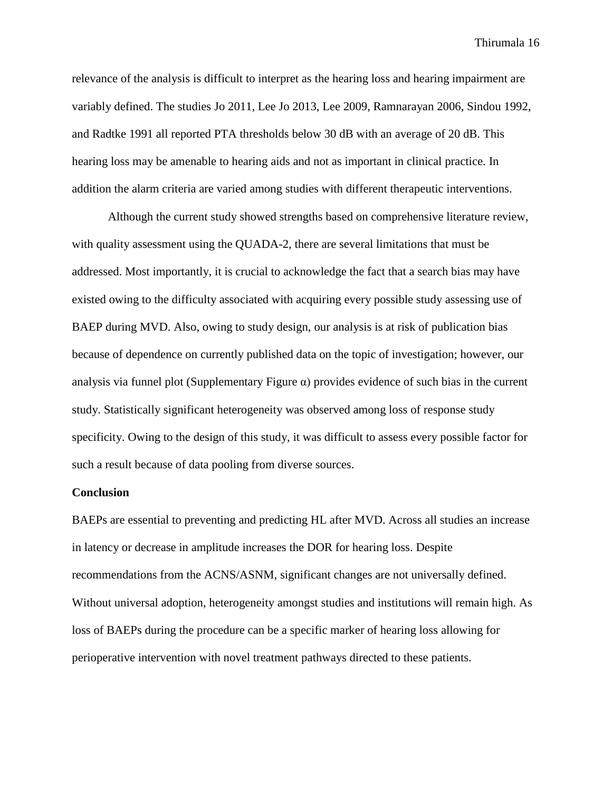relevance of the analysis is difficult to interpret as the hearing loss and hearing impairment are variably defined. The studies Jo 2011, Lee Jo 2013, Lee 2009, Ramnarayan 2006, Sindou 1992, and Radtke 1991 all reported PTA thresholds below 30 dB with an average of 20 dB. This hearing loss may be amenable to hearing aids and not as important in clinical practice. In addition the alarm criteria are varied among studies with different therapeutic interventions.

Although the current study showed strengths based on comprehensive literature review, with quality assessment using the QUADA-2, there are several limitations that must be addressed. Most importantly, it is crucial to acknowledge the fact that a search bias may have existed owing to the difficulty associated with acquiring every possible study assessing use of BAEP during MVD. Also, owing to study design, our analysis is at risk of publication bias because of dependence on currently published data on the topic of investigation; however, our analysis via funnel plot (Supplementary Figure  $\alpha$ ) provides evidence of such bias in the current study. Statistically significant heterogeneity was observed among loss of response study specificity. Owing to the design of this study, it was difficult to assess every possible factor for such a result because of data pooling from diverse sources.

#### **Conclusion**

BAEPs are essential to preventing and predicting HL after MVD. Across all studies an increase in latency or decrease in amplitude increases the DOR for hearing loss. Despite recommendations from the ACNS/ASNM, significant changes are not universally defined. Without universal adoption, heterogeneity amongst studies and institutions will remain high. As loss of BAEPs during the procedure can be a specific marker of hearing loss allowing for perioperative intervention with novel treatment pathways directed to these patients.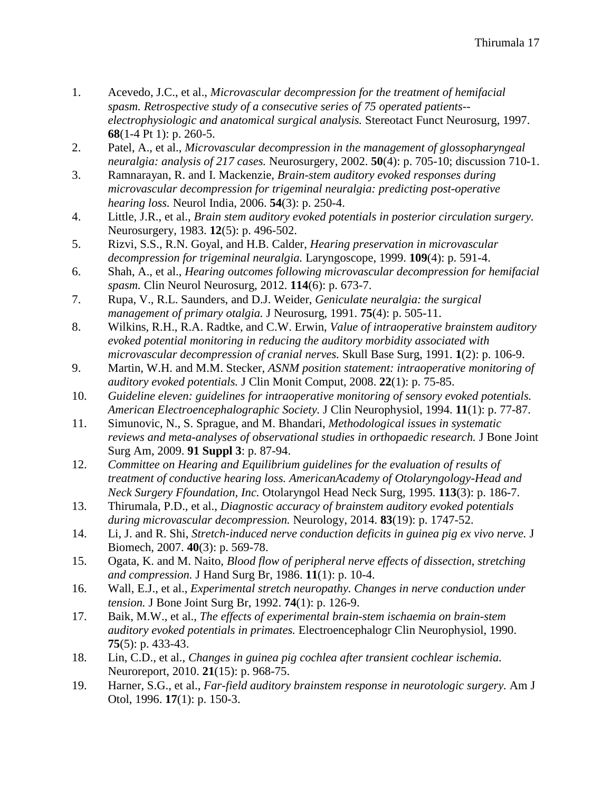- <span id="page-16-0"></span>1. Acevedo, J.C., et al., *Microvascular decompression for the treatment of hemifacial spasm. Retrospective study of a consecutive series of 75 operated patients- electrophysiologic and anatomical surgical analysis.* Stereotact Funct Neurosurg, 1997. **68**(1-4 Pt 1): p. 260-5.
- <span id="page-16-2"></span>2. Patel, A., et al., *Microvascular decompression in the management of glossopharyngeal neuralgia: analysis of 217 cases.* Neurosurgery, 2002. **50**(4): p. 705-10; discussion 710-1.
- 3. Ramnarayan, R. and I. Mackenzie, *Brain-stem auditory evoked responses during microvascular decompression for trigeminal neuralgia: predicting post-operative hearing loss.* Neurol India, 2006. **54**(3): p. 250-4.
- <span id="page-16-1"></span>4. Little, J.R., et al., *Brain stem auditory evoked potentials in posterior circulation surgery.* Neurosurgery, 1983. **12**(5): p. 496-502.
- <span id="page-16-3"></span>5. Rizvi, S.S., R.N. Goyal, and H.B. Calder, *Hearing preservation in microvascular decompression for trigeminal neuralgia.* Laryngoscope, 1999. **109**(4): p. 591-4.
- 6. Shah, A., et al., *Hearing outcomes following microvascular decompression for hemifacial spasm.* Clin Neurol Neurosurg, 2012. **114**(6): p. 673-7.
- 7. Rupa, V., R.L. Saunders, and D.J. Weider, *Geniculate neuralgia: the surgical management of primary otalgia.* J Neurosurg, 1991. **75**(4): p. 505-11.
- <span id="page-16-4"></span>8. Wilkins, R.H., R.A. Radtke, and C.W. Erwin, *Value of intraoperative brainstem auditory evoked potential monitoring in reducing the auditory morbidity associated with microvascular decompression of cranial nerves.* Skull Base Surg, 1991. **1**(2): p. 106-9.
- <span id="page-16-5"></span>9. Martin, W.H. and M.M. Stecker, *ASNM position statement: intraoperative monitoring of auditory evoked potentials.* J Clin Monit Comput, 2008. **22**(1): p. 75-85.
- <span id="page-16-6"></span>10. *Guideline eleven: guidelines for intraoperative monitoring of sensory evoked potentials. American Electroencephalographic Society.* J Clin Neurophysiol, 1994. **11**(1): p. 77-87.
- <span id="page-16-7"></span>11. Simunovic, N., S. Sprague, and M. Bhandari, *Methodological issues in systematic reviews and meta-analyses of observational studies in orthopaedic research.* J Bone Joint Surg Am, 2009. **91 Suppl 3**: p. 87-94.
- <span id="page-16-8"></span>12. *Committee on Hearing and Equilibrium guidelines for the evaluation of results of treatment of conductive hearing loss. AmericanAcademy of Otolaryngology-Head and Neck Surgery Ffoundation, Inc.* Otolaryngol Head Neck Surg, 1995. **113**(3): p. 186-7.
- <span id="page-16-9"></span>13. Thirumala, P.D., et al., *Diagnostic accuracy of brainstem auditory evoked potentials during microvascular decompression.* Neurology, 2014. **83**(19): p. 1747-52.
- <span id="page-16-10"></span>14. Li, J. and R. Shi, *Stretch-induced nerve conduction deficits in guinea pig ex vivo nerve.* J Biomech, 2007. **40**(3): p. 569-78.
- <span id="page-16-11"></span>15. Ogata, K. and M. Naito, *Blood flow of peripheral nerve effects of dissection, stretching and compression.* J Hand Surg Br, 1986. **11**(1): p. 10-4.
- 16. Wall, E.J., et al., *Experimental stretch neuropathy. Changes in nerve conduction under tension.* J Bone Joint Surg Br, 1992. **74**(1): p. 126-9.
- 17. Baik, M.W., et al., *The effects of experimental brain-stem ischaemia on brain-stem auditory evoked potentials in primates.* Electroencephalogr Clin Neurophysiol, 1990. **75**(5): p. 433-43.
- 18. Lin, C.D., et al., *Changes in guinea pig cochlea after transient cochlear ischemia.* Neuroreport, 2010. **21**(15): p. 968-75.
- <span id="page-16-12"></span>19. Harner, S.G., et al., *Far-field auditory brainstem response in neurotologic surgery.* Am J Otol, 1996. **17**(1): p. 150-3.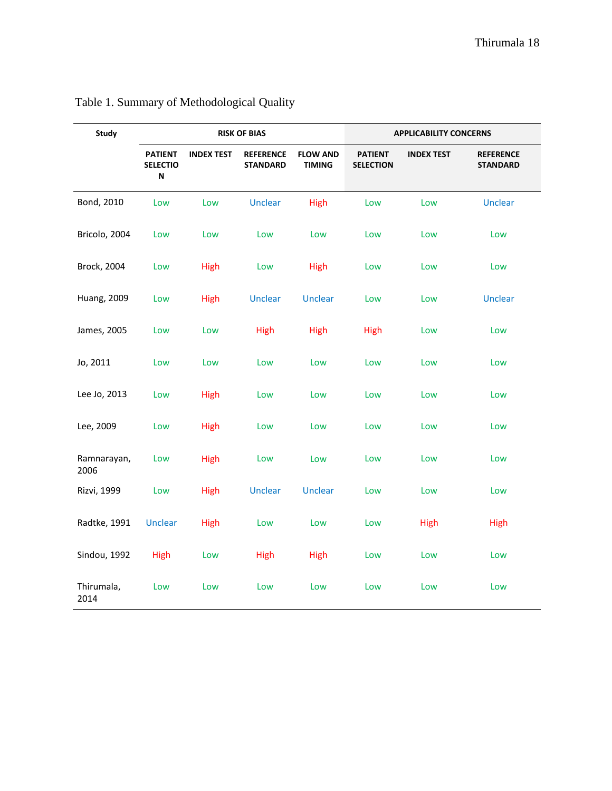| <b>Study</b>        |                                        |                   | <b>RISK OF BIAS</b>                 |                                  |                                    | <b>APPLICABILITY CONCERNS</b> |                                     |
|---------------------|----------------------------------------|-------------------|-------------------------------------|----------------------------------|------------------------------------|-------------------------------|-------------------------------------|
|                     | <b>PATIENT</b><br><b>SELECTIO</b><br>N | <b>INDEX TEST</b> | <b>REFERENCE</b><br><b>STANDARD</b> | <b>FLOW AND</b><br><b>TIMING</b> | <b>PATIENT</b><br><b>SELECTION</b> | <b>INDEX TEST</b>             | <b>REFERENCE</b><br><b>STANDARD</b> |
| Bond, 2010          | Low                                    | Low               | Unclear                             | <b>High</b>                      | Low                                | Low                           | Unclear                             |
| Bricolo, 2004       | Low                                    | Low               | Low                                 | Low                              | Low                                | Low                           | Low                                 |
| Brock, 2004         | Low                                    | <b>High</b>       | Low                                 | <b>High</b>                      | Low                                | Low                           | Low                                 |
| <b>Huang, 2009</b>  | Low                                    | <b>High</b>       | <b>Unclear</b>                      | <b>Unclear</b>                   | Low                                | Low                           | Unclear                             |
| James, 2005         | Low                                    | Low               | <b>High</b>                         | <b>High</b>                      | High                               | Low                           | Low                                 |
| Jo, 2011            | Low                                    | Low               | Low                                 | Low                              | Low                                | Low                           | Low                                 |
| Lee Jo, 2013        | Low                                    | High              | Low                                 | Low                              | Low                                | Low                           | Low                                 |
| Lee, 2009           | Low                                    | High              | Low                                 | Low                              | Low                                | Low                           | Low                                 |
| Ramnarayan,<br>2006 | Low                                    | High              | Low                                 | Low                              | Low                                | Low                           | Low                                 |
| Rizvi, 1999         | Low                                    | High              | Unclear                             | <b>Unclear</b>                   | Low                                | Low                           | Low                                 |
| Radtke, 1991        | Unclear                                | High              | Low                                 | Low                              | Low                                | High                          | <b>High</b>                         |
| Sindou, 1992        | High                                   | Low               | High                                | <b>High</b>                      | Low                                | Low                           | Low                                 |
| Thirumala,<br>2014  | Low                                    | Low               | Low                                 | Low                              | Low                                | Low                           | Low                                 |

# Table 1. Summary of Methodological Quality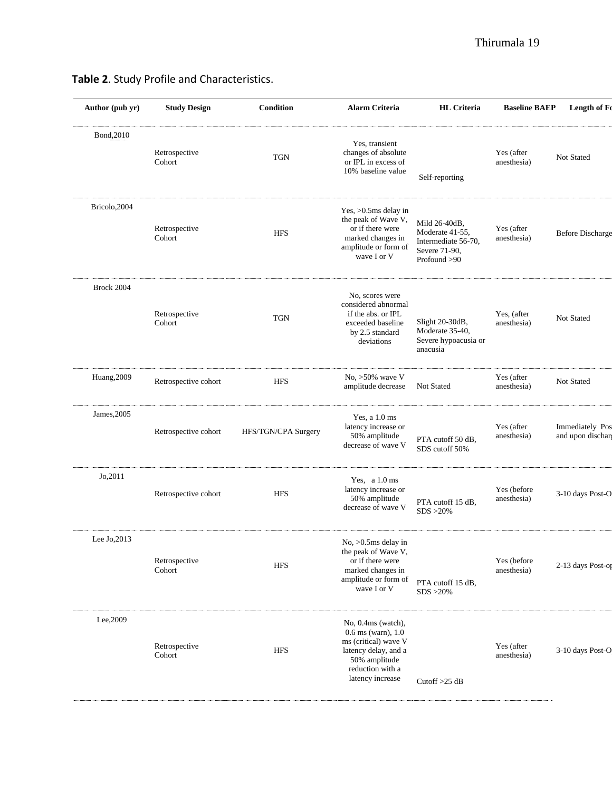| <b>Study Design</b>     | Condition           | <b>Alarm Criteria</b>                                                                                                                                 | <b>HL</b> Criteria                                                                       | <b>Baseline BAEP</b>       | Length of Fo                        |
|-------------------------|---------------------|-------------------------------------------------------------------------------------------------------------------------------------------------------|------------------------------------------------------------------------------------------|----------------------------|-------------------------------------|
| Retrospective<br>Cohort | <b>TGN</b>          | Yes, transient<br>changes of absolute<br>or IPL in excess of<br>10% baseline value                                                                    | Self-reporting                                                                           | Yes (after<br>anesthesia)  | Not Stated                          |
| Retrospective<br>Cohort | <b>HFS</b>          | Yes, $>0.5$ ms delay in<br>the peak of Wave V,<br>or if there were<br>marked changes in<br>amplitude or form of<br>wave I or V                        | Mild 26-40dB,<br>Moderate 41-55,<br>Intermediate 56-70,<br>Severe 71-90,<br>Profound >90 | Yes (after<br>anesthesia)  | <b>Before Discharge</b>             |
| Retrospective<br>Cohort | <b>TGN</b>          | No, scores were<br>considered abnormal<br>if the abs. or IPL<br>exceeded baseline<br>by 2.5 standard<br>deviations                                    | Slight 20-30dB,<br>Moderate 35-40,<br>Severe hypoacusia or<br>anacusia                   | Yes, (after<br>anesthesia) | Not Stated                          |
| Retrospective cohort    | <b>HFS</b>          | No, $>50\%$ wave V<br>amplitude decrease                                                                                                              | Not Stated                                                                               | Yes (after<br>anesthesia)  | Not Stated                          |
| Retrospective cohort    | HFS/TGN/CPA Surgery | Yes, a 1.0 ms<br>latency increase or<br>50% amplitude<br>decrease of wave V                                                                           | PTA cutoff 50 dB,<br>SDS cutoff 50%                                                      | Yes (after<br>anesthesia)  | Immediately Pos<br>and upon dischar |
| Retrospective cohort    | <b>HFS</b>          | Yes, a 1.0 ms<br>latency increase or<br>50% amplitude<br>decrease of wave V                                                                           | PTA cutoff 15 dB,<br>$SDS > 20\%$                                                        | Yes (before<br>anesthesia) | 3-10 days Post-O                    |
| Retrospective<br>Cohort | <b>HFS</b>          | $No. > 0.5ms$ delay in<br>the peak of Wave V,<br>or if there were<br>marked changes in<br>amplitude or form of<br>wave I or V                         | PTA cutoff 15 dB,<br>$SDS > 20\%$                                                        | Yes (before<br>anesthesia) | 2-13 days Post-op                   |
| Retrospective<br>Cohort | <b>HFS</b>          | No, 0.4ms (watch),<br>$0.6$ ms (warn), $1.0$<br>ms (critical) wave V<br>latency delay, and a<br>50% amplitude<br>reduction with a<br>latency increase | Cutoff $>25$ dB                                                                          | Yes (after<br>anesthesia)  | 3-10 days Post-O                    |
|                         |                     |                                                                                                                                                       |                                                                                          |                            |                                     |

## **Table 2**. Study Profile and Characteristics.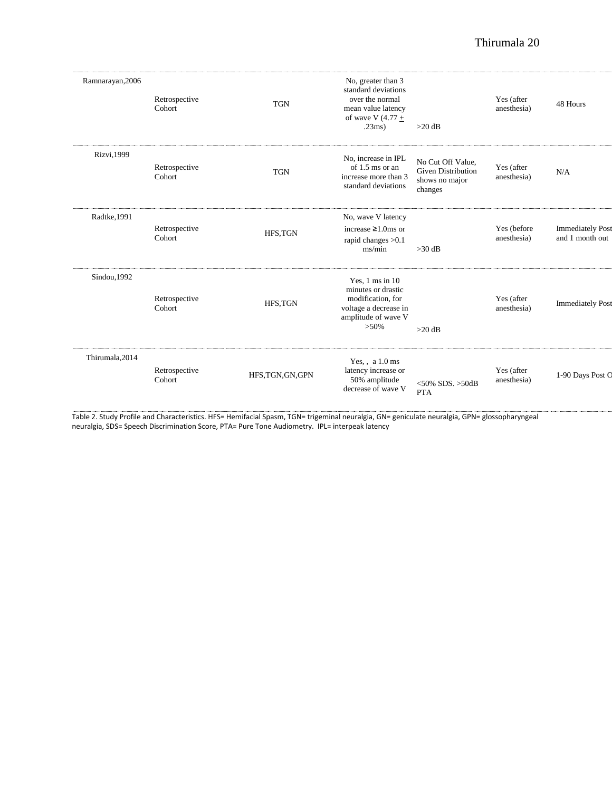| Ramnarayan, 2006 | Retrospective<br>Cohort | <b>TGN</b>        | No, greater than 3<br>standard deviations<br>over the normal<br>mean value latency<br>of wave V $(4.77 +$<br>.23ms)              | $>20$ dB                                                                    | Yes (after<br>anesthesia)  | 48 Hours                                   |
|------------------|-------------------------|-------------------|----------------------------------------------------------------------------------------------------------------------------------|-----------------------------------------------------------------------------|----------------------------|--------------------------------------------|
| Rizvi, 1999      | Retrospective<br>Cohort | <b>TGN</b>        | No, increase in IPL<br>of $1.5$ ms or an<br>increase more than 3<br>standard deviations                                          | No Cut Off Value,<br><b>Given Distribution</b><br>shows no major<br>changes | Yes (after<br>anesthesia)  | N/A                                        |
| Radtke, 1991     | Retrospective<br>Cohort | HFS, TGN          | No, wave V latency<br>increase $\geq 1.0$ ms or<br>rapid changes > 0.1<br>ms/min                                                 | $>30$ dB                                                                    | Yes (before<br>anesthesia) | <b>Immediately Post</b><br>and 1 month out |
| Sindou, 1992     | Retrospective<br>Cohort | HFS, TGN          | Yes, $1 \text{ ms in } 10$<br>minutes or drastic<br>modification, for<br>voltage a decrease in<br>amplitude of wave V<br>$>50\%$ | $>20$ dB                                                                    | Yes (after<br>anesthesia)  | <b>Immediately Post</b>                    |
| Thirumala, 2014  | Retrospective<br>Cohort | HFS, TGN, GN, GPN | Yes, , a 1.0 ms<br>latency increase or<br>50% amplitude<br>decrease of wave V                                                    | $<$ 50% SDS. >50dB<br><b>PTA</b>                                            | Yes (after<br>anesthesia)  | 1-90 Days Post C                           |

Table 2. Study Profile and Characteristics. HFS= Hemifacial Spasm, TGN= trigeminal neuralgia, GN= geniculate neuralgia, GPN= glossopharyngeal neuralgia, SDS= Speech Discrimination Score, PTA= Pure Tone Audiometry. IPL= interpeak latency